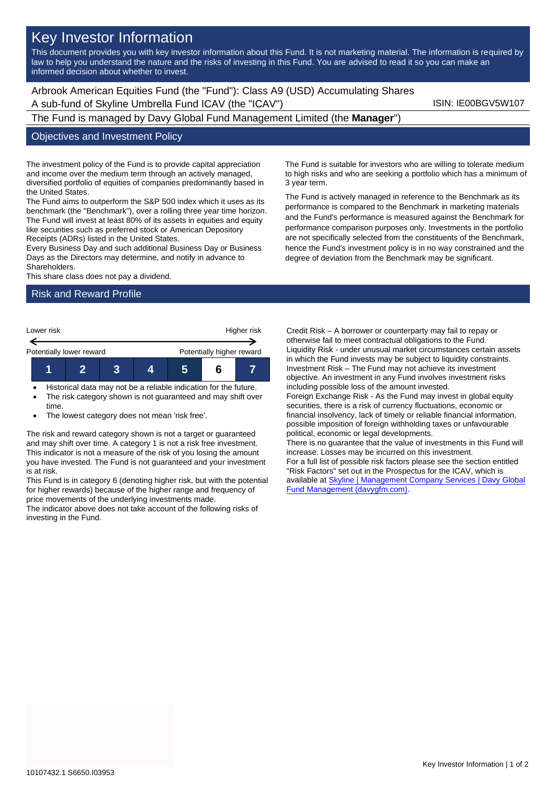# Key Investor Information

This document provides you with key investor information about this Fund. It is not marketing material. The information is required by law to help you understand the nature and the risks of investing in this Fund. You are advised to read it so you can make an informed decision about whether to invest.

Arbrook American Equities Fund (the "Fund"): Class A9 (USD) Accumulating Shares A sub-fund of Skyline Umbrella Fund ICAV (the "ICAV") ISIN: IE00BGV5W107

The Fund is managed by Davy Global Fund Management Limited (the **Manager**")

#### Objectives and Investment Policy

The investment policy of the Fund is to provide capital appreciation and income over the medium term through an actively managed, diversified portfolio of equities of companies predominantly based in the United States.

The Fund aims to outperform the S&P 500 index which it uses as its benchmark (the "Benchmark"), over a rolling three year time horizon. The Fund will invest at least 80% of its assets in equities and equity like securities such as preferred stock or American Depository Receipts (ADRs) listed in the United States.

Every Business Day and such additional Business Day or Business Days as the Directors may determine, and notify in advance to Shareholders.

This share class does not pay a dividend.

#### Risk and Reward Profile



- Historical data may not be a reliable indication for the future.
- The risk category shown is not guaranteed and may shift over time.
- The lowest category does not mean 'risk free'.

The risk and reward category shown is not a target or guaranteed and may shift over time. A category 1 is not a risk free investment. This indicator is not a measure of the risk of you losing the amount you have invested. The Fund is not guaranteed and your investment is at risk.

This Fund is in category 6 (denoting higher risk, but with the potential for higher rewards) because of the higher range and frequency of price movements of the underlying investments made.

The indicator above does not take account of the following risks of investing in the Fund.

The Fund is suitable for investors who are willing to tolerate medium to high risks and who are seeking a portfolio which has a minimum of 3 year term.

The Fund is actively managed in reference to the Benchmark as its performance is compared to the Benchmark in marketing materials and the Fund's performance is measured against the Benchmark for performance comparison purposes only. Investments in the portfolio are not specifically selected from the constituents of the Benchmark, hence the Fund's investment policy is in no way constrained and the degree of deviation from the Benchmark may be significant.

Credit Risk – A borrower or counterparty may fail to repay or otherwise fail to meet contractual obligations to the Fund. Liquidity Risk - under unusual market circumstances certain assets in which the Fund invests may be subject to liquidity constraints. Investment Risk – The Fund may not achieve its investment objective. An investment in any Fund involves investment risks including possible loss of the amount invested. Foreign Exchange Risk - As the Fund may invest in global equity securities, there is a risk of currency fluctuations, economic or financial insolvency, lack of timely or reliable financial information, possible imposition of foreign withholding taxes or unfavourable political, economic or legal developments. There is no guarantee that the value of investments in this Fund will increase. Losses may be incurred on this investment. For a full list of possible risk factors please see the section entitled "Risk Factors" set out in the Prospectus for the ICAV, which is available at **Skyline | Management Company Services | Davy Global** [Fund Management \(davygfm.com\).](https://www.davygfm.com/funds-factsheets/management-company-services/ireland/skyline.html)